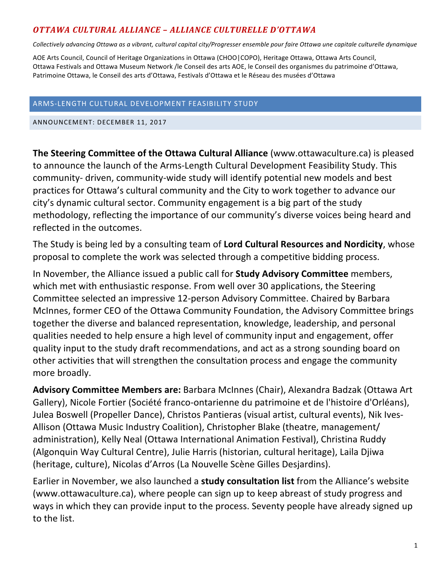## *OTTAWA CULTURAL ALLIANCE – ALLIANCE CULTURELLE D'OTTAWA*

Collectively advancing Ottawa as a vibrant, cultural capital city/Progresser ensemble pour faire Ottawa une capitale culturelle dynamique

AOE Arts Council, Council of Heritage Organizations in Ottawa (CHOO|COPO), Heritage Ottawa, Ottawa Arts Council, Ottawa Festivals and Ottawa Museum Network /le Conseil des arts AOE, le Conseil des organismes du patrimoine d'Ottawa, Patrimoine Ottawa, le Conseil des arts d'Ottawa, Festivals d'Ottawa et le Réseau des musées d'Ottawa

## ARMS-LENGTH CULTURAL DEVELOPMENT FEASIBILITY STUDY

ANNOUNCEMENT: DECEMBER 11, 2017

**The Steering Committee of the Ottawa Cultural Alliance** (www.ottawaculture.ca) is pleased to announce the launch of the Arms-Length Cultural Development Feasibility Study. This community- driven, community-wide study will identify potential new models and best practices for Ottawa's cultural community and the City to work together to advance our city's dynamic cultural sector. Community engagement is a big part of the study methodology, reflecting the importance of our community's diverse voices being heard and reflected in the outcomes.

The Study is being led by a consulting team of Lord Cultural Resources and Nordicity, whose proposal to complete the work was selected through a competitive bidding process.

In November, the Alliance issued a public call for **Study Advisory Committee** members, which met with enthusiastic response. From well over 30 applications, the Steering Committee selected an impressive 12-person Advisory Committee. Chaired by Barbara McInnes, former CEO of the Ottawa Community Foundation, the Advisory Committee brings together the diverse and balanced representation, knowledge, leadership, and personal qualities needed to help ensure a high level of community input and engagement, offer quality input to the study draft recommendations, and act as a strong sounding board on other activities that will strengthen the consultation process and engage the community more broadly.

Advisory Committee Members are: Barbara McInnes (Chair), Alexandra Badzak (Ottawa Art Gallery), Nicole Fortier (Société franco-ontarienne du patrimoine et de l'histoire d'Orléans), Julea Boswell (Propeller Dance), Christos Pantieras (visual artist, cultural events), Nik Ives-Allison (Ottawa Music Industry Coalition), Christopher Blake (theatre, management/ administration), Kelly Neal (Ottawa International Animation Festival), Christina Ruddy (Algonquin Way Cultural Centre), Julie Harris (historian, cultural heritage), Laila Djiwa (heritage, culture), Nicolas d'Arros (La Nouvelle Scène Gilles Desjardins).

Earlier in November, we also launched a **study consultation list** from the Alliance's website (www.ottawaculture.ca), where people can sign up to keep abreast of study progress and ways in which they can provide input to the process. Seventy people have already signed up to the list.